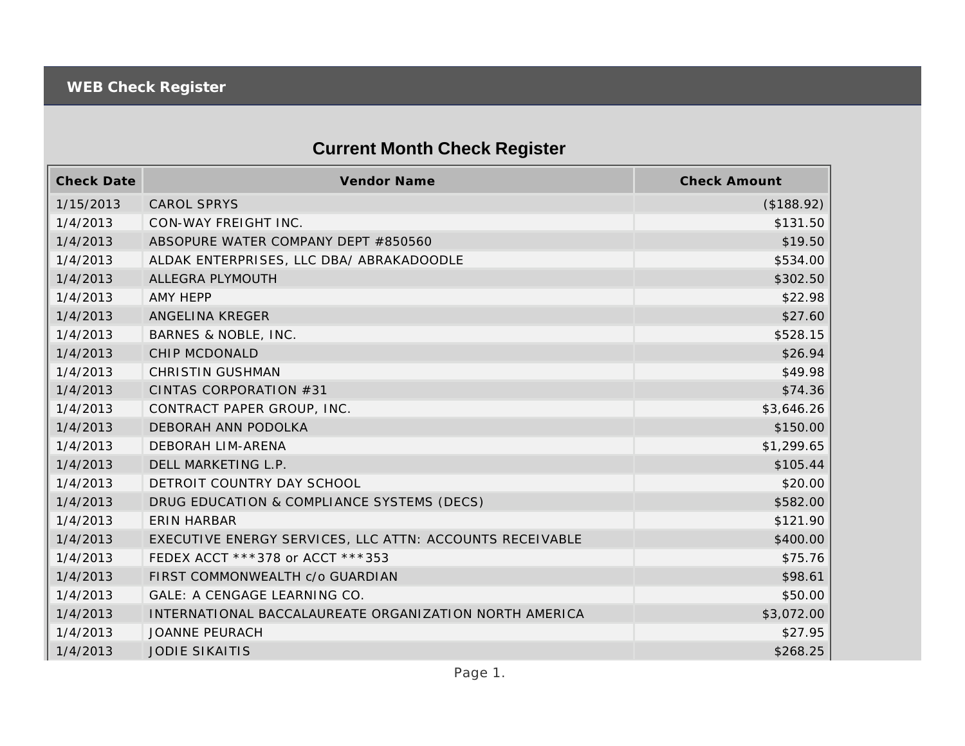## **Current Month Check Register**

| <b>Check Date</b> | <b>Vendor Name</b>                                       | <b>Check Amount</b> |
|-------------------|----------------------------------------------------------|---------------------|
| 1/15/2013         | <b>CAROL SPRYS</b>                                       | (\$188.92)          |
| 1/4/2013          | CON-WAY FREIGHT INC.                                     | \$131.50            |
| 1/4/2013          | ABSOPURE WATER COMPANY DEPT #850560                      | \$19.50             |
| 1/4/2013          | ALDAK ENTERPRISES, LLC DBA/ ABRAKADOODLE                 | \$534.00            |
| 1/4/2013          | ALLEGRA PLYMOUTH                                         | \$302.50            |
| 1/4/2013          | AMY HEPP                                                 | \$22.98             |
| 1/4/2013          | ANGELINA KREGER                                          | \$27.60             |
| 1/4/2013          | BARNES & NOBLE, INC.                                     | \$528.15            |
| 1/4/2013          | CHIP MCDONALD                                            | \$26.94             |
| 1/4/2013          | <b>CHRISTIN GUSHMAN</b>                                  | \$49.98             |
| 1/4/2013          | CINTAS CORPORATION #31                                   | \$74.36             |
| 1/4/2013          | CONTRACT PAPER GROUP, INC.                               | \$3,646.26          |
| 1/4/2013          | DEBORAH ANN PODOLKA                                      | \$150.00            |
| 1/4/2013          | DEBORAH LIM-ARENA                                        | \$1,299.65          |
| 1/4/2013          | DELL MARKETING L.P.                                      | \$105.44            |
| 1/4/2013          | DETROIT COUNTRY DAY SCHOOL                               | \$20.00             |
| 1/4/2013          | DRUG EDUCATION & COMPLIANCE SYSTEMS (DECS)               | \$582.00            |
| 1/4/2013          | <b>ERIN HARBAR</b>                                       | \$121.90            |
| 1/4/2013          | EXECUTIVE ENERGY SERVICES, LLC ATTN: ACCOUNTS RECEIVABLE | \$400.00            |
| 1/4/2013          | FEDEX ACCT ***378 or ACCT ***353                         | \$75.76             |
| 1/4/2013          | FIRST COMMONWEALTH c/o GUARDIAN                          | \$98.61             |
| 1/4/2013          | GALE: A CENGAGE LEARNING CO.                             | \$50.00             |
| 1/4/2013          | INTERNATIONAL BACCALAUREATE ORGANIZATION NORTH AMERICA   | \$3,072.00          |
| 1/4/2013          | <b>JOANNE PEURACH</b>                                    | \$27.95             |
| 1/4/2013          | <b>JODIE SIKAITIS</b>                                    | \$268.25            |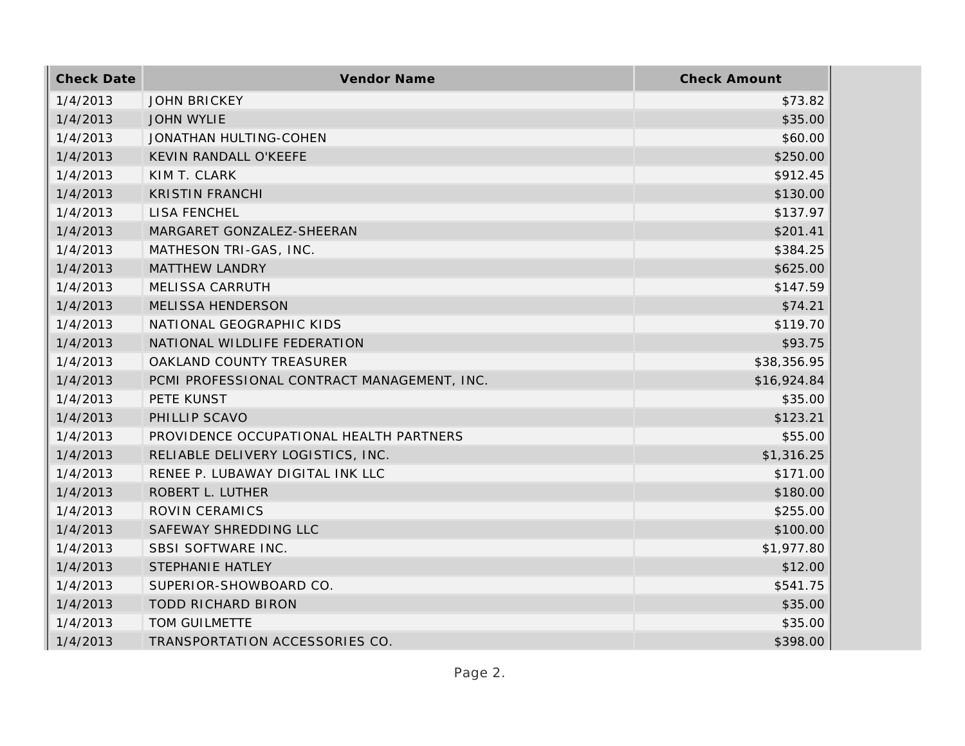| <b>Check Date</b> | <b>Vendor Name</b>                          | <b>Check Amount</b> |
|-------------------|---------------------------------------------|---------------------|
| 1/4/2013          | <b>JOHN BRICKEY</b>                         | \$73.82             |
| 1/4/2013          | <b>JOHN WYLIE</b>                           | \$35.00             |
| 1/4/2013          | JONATHAN HULTING-COHEN                      | \$60.00             |
| 1/4/2013          | KEVIN RANDALL O'KEEFE                       | \$250.00            |
| 1/4/2013          | KIM T. CLARK                                | \$912.45            |
| 1/4/2013          | <b>KRISTIN FRANCHI</b>                      | \$130.00            |
| 1/4/2013          | <b>LISA FENCHEL</b>                         | \$137.97            |
| 1/4/2013          | MARGARET GONZALEZ-SHEERAN                   | \$201.41            |
| 1/4/2013          | MATHESON TRI-GAS, INC.                      | \$384.25            |
| 1/4/2013          | <b>MATTHEW LANDRY</b>                       | \$625.00            |
| 1/4/2013          | MELISSA CARRUTH                             | \$147.59            |
| 1/4/2013          | <b>MELISSA HENDERSON</b>                    | \$74.21             |
| 1/4/2013          | NATIONAL GEOGRAPHIC KIDS                    | \$119.70            |
| 1/4/2013          | NATIONAL WILDLIFE FEDERATION                | \$93.75             |
| 1/4/2013          | OAKLAND COUNTY TREASURER                    | \$38,356.95         |
| 1/4/2013          | PCMI PROFESSIONAL CONTRACT MANAGEMENT, INC. | \$16,924.84         |
| 1/4/2013          | PETE KUNST                                  | \$35.00             |
| 1/4/2013          | PHILLIP SCAVO                               | \$123.21            |
| 1/4/2013          | PROVIDENCE OCCUPATIONAL HEALTH PARTNERS     | \$55.00             |
| 1/4/2013          | RELIABLE DELIVERY LOGISTICS, INC.           | \$1,316.25          |
| 1/4/2013          | RENEE P. LUBAWAY DIGITAL INK LLC            | \$171.00            |
| 1/4/2013          | ROBERT L. LUTHER                            | \$180.00            |
| 1/4/2013          | ROVIN CERAMICS                              | \$255.00            |
| 1/4/2013          | SAFEWAY SHREDDING LLC                       | \$100.00            |
| 1/4/2013          | SBSI SOFTWARE INC.                          | \$1,977.80          |
| 1/4/2013          | STEPHANIE HATLEY                            | \$12.00             |
| 1/4/2013          | SUPERIOR-SHOWBOARD CO.                      | \$541.75            |
| 1/4/2013          | <b>TODD RICHARD BIRON</b>                   | \$35.00             |
| 1/4/2013          | TOM GUILMETTE                               | \$35.00             |
| 1/4/2013          | TRANSPORTATION ACCESSORIES CO.              | \$398.00            |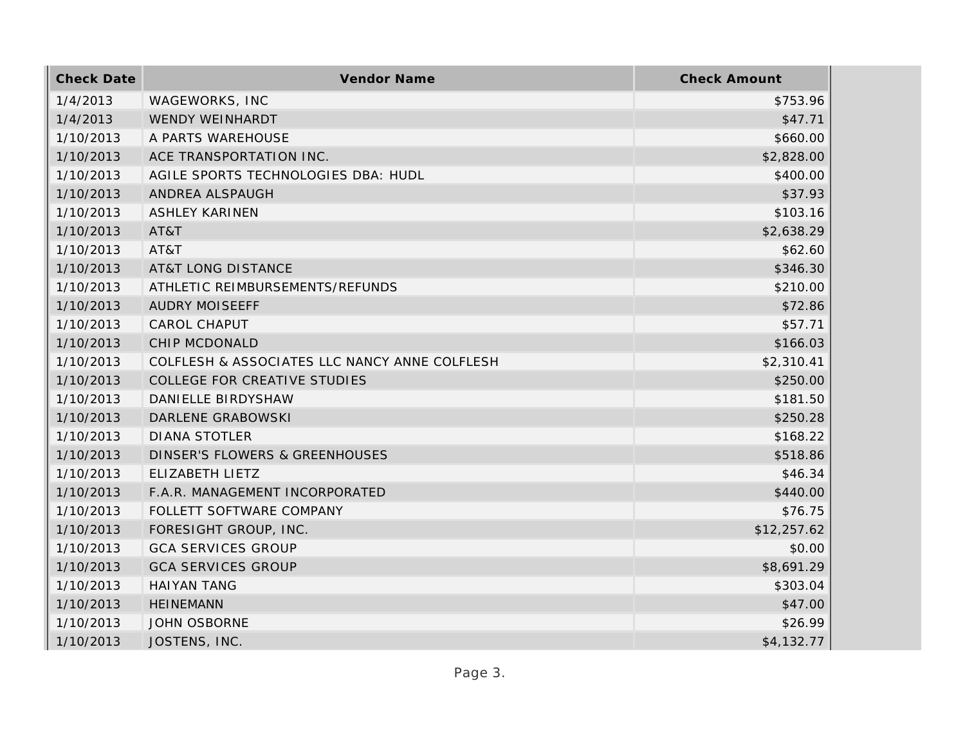| <b>Check Date</b> | Vendor Name                                   | <b>Check Amount</b> |
|-------------------|-----------------------------------------------|---------------------|
| 1/4/2013          | WAGEWORKS, INC                                | \$753.96            |
| 1/4/2013          | <b>WENDY WEINHARDT</b>                        | \$47.71             |
| 1/10/2013         | A PARTS WAREHOUSE                             | \$660.00            |
| 1/10/2013         | ACE TRANSPORTATION INC.                       | \$2,828.00          |
| 1/10/2013         | AGILE SPORTS TECHNOLOGIES DBA: HUDL           | \$400.00            |
| 1/10/2013         | ANDREA ALSPAUGH                               | \$37.93             |
| 1/10/2013         | <b>ASHLEY KARINEN</b>                         | \$103.16            |
| 1/10/2013         | AT&T                                          | \$2,638.29          |
| 1/10/2013         | AT&T                                          | \$62.60             |
| 1/10/2013         | <b>AT&amp;T LONG DISTANCE</b>                 | \$346.30            |
| 1/10/2013         | ATHLETIC REIMBURSEMENTS/REFUNDS               | \$210.00            |
| 1/10/2013         | <b>AUDRY MOISEEFF</b>                         | \$72.86             |
| 1/10/2013         | <b>CAROL CHAPUT</b>                           | \$57.71             |
| 1/10/2013         | <b>CHIP MCDONALD</b>                          | \$166.03            |
| 1/10/2013         | COLFLESH & ASSOCIATES LLC NANCY ANNE COLFLESH | \$2,310.41          |
| 1/10/2013         | COLLEGE FOR CREATIVE STUDIES                  | \$250.00            |
| 1/10/2013         | DANIELLE BIRDYSHAW                            | \$181.50            |
| 1/10/2013         | DARLENE GRABOWSKI                             | \$250.28            |
| 1/10/2013         | <b>DIANA STOTLER</b>                          | \$168.22            |
| 1/10/2013         | DINSER'S FLOWERS & GREENHOUSES                | \$518.86            |
| 1/10/2013         | ELIZABETH LIETZ                               | \$46.34             |
| 1/10/2013         | F.A.R. MANAGEMENT INCORPORATED                | \$440.00            |
| 1/10/2013         | FOLLETT SOFTWARE COMPANY                      | \$76.75             |
| 1/10/2013         | FORESIGHT GROUP, INC.                         | \$12,257.62         |
| 1/10/2013         | <b>GCA SERVICES GROUP</b>                     | \$0.00              |
| 1/10/2013         | <b>GCA SERVICES GROUP</b>                     | \$8,691.29          |
| 1/10/2013         | <b>HAIYAN TANG</b>                            | \$303.04            |
| 1/10/2013         | <b>HEINEMANN</b>                              | \$47.00             |
| 1/10/2013         | <b>JOHN OSBORNE</b>                           | \$26.99             |
| 1/10/2013         | JOSTENS, INC.                                 | \$4,132.77          |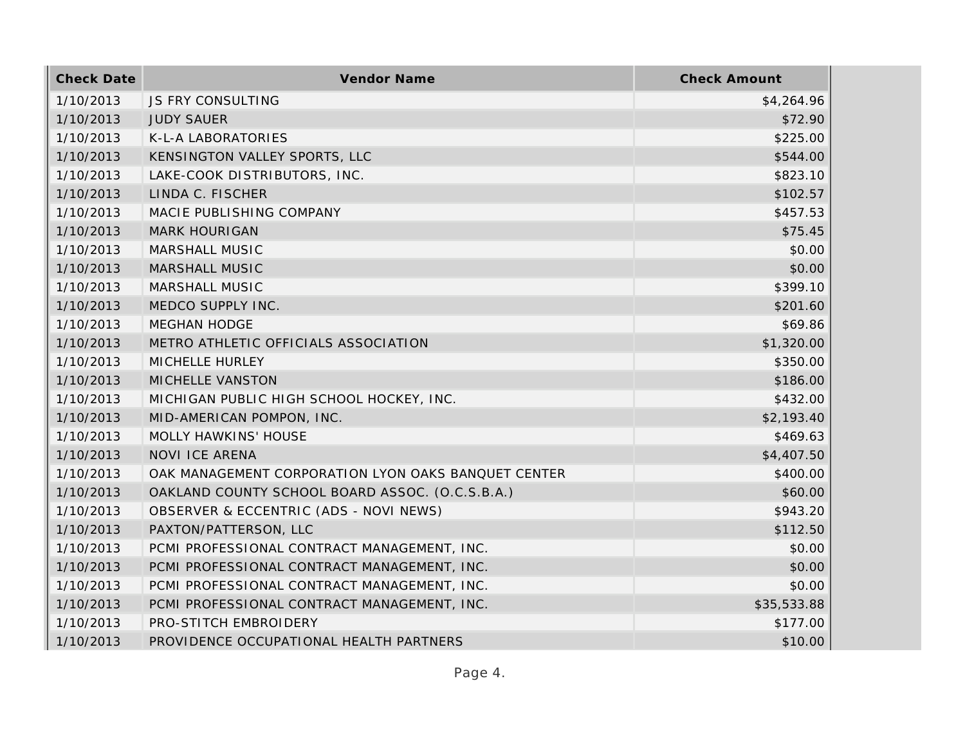| <b>Check Date</b> | Vendor Name                                         | <b>Check Amount</b> |
|-------------------|-----------------------------------------------------|---------------------|
| 1/10/2013         | <b>JS FRY CONSULTING</b>                            | \$4,264.96          |
| 1/10/2013         | <b>JUDY SAUER</b>                                   | \$72.90             |
| 1/10/2013         | K-L-A LABORATORIES                                  | \$225.00            |
| 1/10/2013         | KENSINGTON VALLEY SPORTS, LLC                       | \$544.00            |
| 1/10/2013         | LAKE-COOK DISTRIBUTORS, INC.                        | \$823.10            |
| 1/10/2013         | LINDA C. FISCHER                                    | \$102.57            |
| 1/10/2013         | MACIE PUBLISHING COMPANY                            | \$457.53            |
| 1/10/2013         | <b>MARK HOURIGAN</b>                                | \$75.45             |
| 1/10/2013         | MARSHALL MUSIC                                      | \$0.00              |
| 1/10/2013         | <b>MARSHALL MUSIC</b>                               | \$0.00              |
| 1/10/2013         | MARSHALL MUSIC                                      | \$399.10            |
| 1/10/2013         | MEDCO SUPPLY INC.                                   | \$201.60            |
| 1/10/2013         | <b>MEGHAN HODGE</b>                                 | \$69.86             |
| 1/10/2013         | METRO ATHLETIC OFFICIALS ASSOCIATION                | \$1,320.00          |
| 1/10/2013         | MICHELLE HURLEY                                     | \$350.00            |
| 1/10/2013         | MICHELLE VANSTON                                    | \$186.00            |
| 1/10/2013         | MICHIGAN PUBLIC HIGH SCHOOL HOCKEY, INC.            | \$432.00            |
| 1/10/2013         | MID-AMERICAN POMPON, INC.                           | \$2,193.40          |
| 1/10/2013         | MOLLY HAWKINS' HOUSE                                | \$469.63            |
| 1/10/2013         | NOVI ICE ARENA                                      | \$4,407.50          |
| 1/10/2013         | OAK MANAGEMENT CORPORATION LYON OAKS BANQUET CENTER | \$400.00            |
| 1/10/2013         | OAKLAND COUNTY SCHOOL BOARD ASSOC. (O.C.S.B.A.)     | \$60.00             |
| 1/10/2013         | OBSERVER & ECCENTRIC (ADS - NOVI NEWS)              | \$943.20            |
| 1/10/2013         | PAXTON/PATTERSON, LLC                               | \$112.50            |
| 1/10/2013         | PCMI PROFESSIONAL CONTRACT MANAGEMENT, INC.         | \$0.00              |
| 1/10/2013         | PCMI PROFESSIONAL CONTRACT MANAGEMENT, INC.         | \$0.00              |
| 1/10/2013         | PCMI PROFESSIONAL CONTRACT MANAGEMENT, INC.         | \$0.00              |
| 1/10/2013         | PCMI PROFESSIONAL CONTRACT MANAGEMENT, INC.         | \$35,533.88         |
| 1/10/2013         | PRO-STITCH EMBROIDERY                               | \$177.00            |
| 1/10/2013         | PROVIDENCE OCCUPATIONAL HEALTH PARTNERS             | \$10.00             |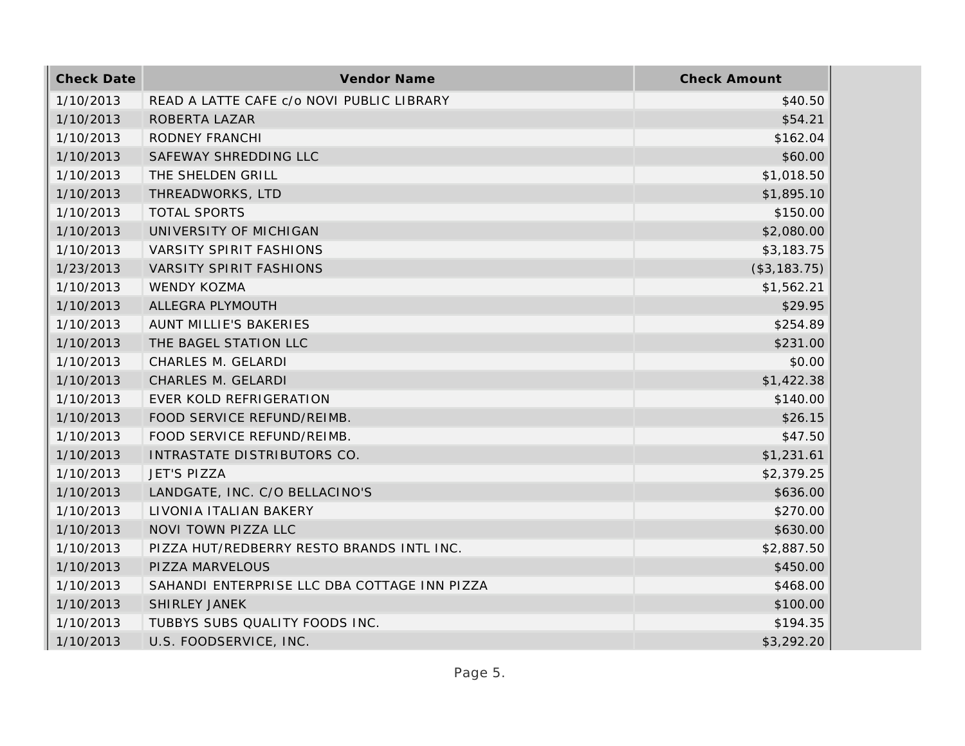| <b>Check Date</b> | Vendor Name                                  | <b>Check Amount</b> |
|-------------------|----------------------------------------------|---------------------|
| 1/10/2013         | READ A LATTE CAFE c/o NOVI PUBLIC LIBRARY    | \$40.50             |
| 1/10/2013         | ROBERTA LAZAR                                | \$54.21             |
| 1/10/2013         | RODNEY FRANCHI                               | \$162.04            |
| 1/10/2013         | SAFEWAY SHREDDING LLC                        | \$60.00             |
| 1/10/2013         | THE SHELDEN GRILL                            | \$1,018.50          |
| 1/10/2013         | THREADWORKS, LTD                             | \$1,895.10          |
| 1/10/2013         | <b>TOTAL SPORTS</b>                          | \$150.00            |
| 1/10/2013         | UNIVERSITY OF MICHIGAN                       | \$2,080.00          |
| 1/10/2013         | VARSITY SPIRIT FASHIONS                      | \$3,183.75          |
| 1/23/2013         | <b>VARSITY SPIRIT FASHIONS</b>               | (\$3,183.75)        |
| 1/10/2013         | WENDY KOZMA                                  | \$1,562.21          |
| 1/10/2013         | ALLEGRA PLYMOUTH                             | \$29.95             |
| 1/10/2013         | AUNT MILLIE'S BAKERIES                       | \$254.89            |
| 1/10/2013         | THE BAGEL STATION LLC                        | \$231.00            |
| 1/10/2013         | CHARLES M. GELARDI                           | \$0.00              |
| 1/10/2013         | CHARLES M. GELARDI                           | \$1,422.38          |
| 1/10/2013         | EVER KOLD REFRIGERATION                      | \$140.00            |
| 1/10/2013         | FOOD SERVICE REFUND/REIMB.                   | \$26.15             |
| 1/10/2013         | FOOD SERVICE REFUND/REIMB.                   | \$47.50             |
| 1/10/2013         | INTRASTATE DISTRIBUTORS CO.                  | \$1,231.61          |
| 1/10/2013         | JET'S PIZZA                                  | \$2,379.25          |
| 1/10/2013         | LANDGATE, INC. C/O BELLACINO'S               | \$636.00            |
| 1/10/2013         | LIVONIA ITALIAN BAKERY                       | \$270.00            |
| 1/10/2013         | NOVI TOWN PIZZA LLC                          | \$630.00            |
| 1/10/2013         | PIZZA HUT/REDBERRY RESTO BRANDS INTL INC.    | \$2,887.50          |
| 1/10/2013         | PIZZA MARVELOUS                              | \$450.00            |
| 1/10/2013         | SAHANDI ENTERPRISE LLC DBA COTTAGE INN PIZZA | \$468.00            |
| 1/10/2013         | SHIRLEY JANEK                                | \$100.00            |
| 1/10/2013         | TUBBYS SUBS QUALITY FOODS INC.               | \$194.35            |
| 1/10/2013         | U.S. FOODSERVICE, INC.                       | \$3,292.20          |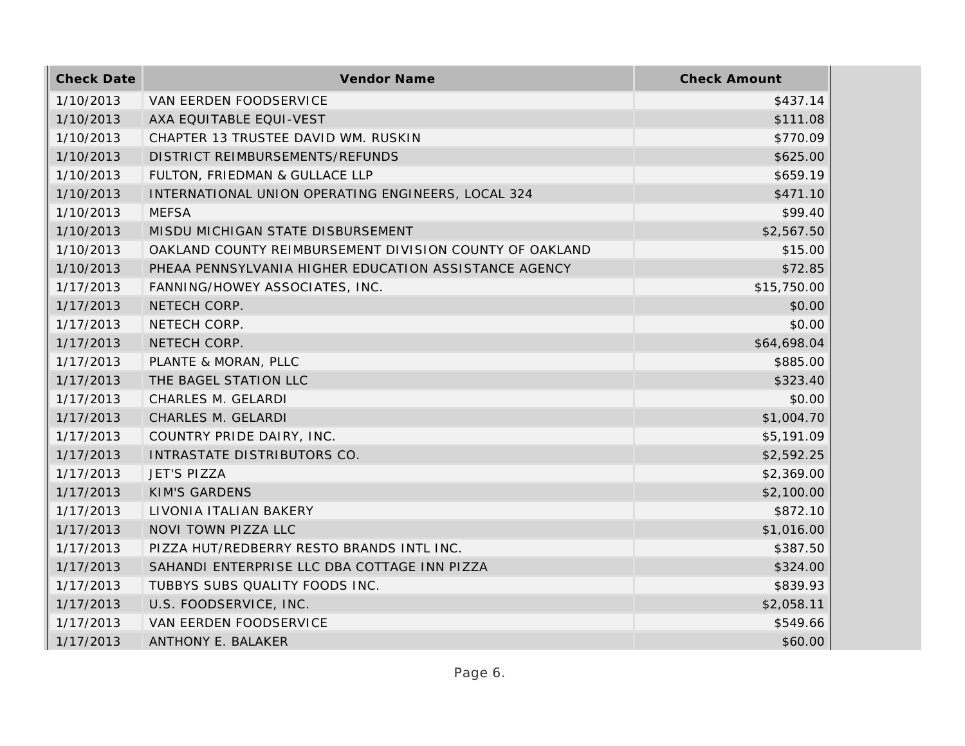| <b>Check Date</b> | Vendor Name                                             | <b>Check Amount</b> |
|-------------------|---------------------------------------------------------|---------------------|
| 1/10/2013         | VAN EERDEN FOODSERVICE                                  | \$437.14            |
| 1/10/2013         | AXA EQUITABLE EQUI-VEST                                 | \$111.08            |
| 1/10/2013         | CHAPTER 13 TRUSTEE DAVID WM. RUSKIN                     | \$770.09            |
| 1/10/2013         | DISTRICT REIMBURSEMENTS/REFUNDS                         | \$625.00            |
| 1/10/2013         | FULTON, FRIEDMAN & GULLACE LLP                          | \$659.19            |
| 1/10/2013         | INTERNATIONAL UNION OPERATING ENGINEERS, LOCAL 324      | \$471.10            |
| 1/10/2013         | <b>MEFSA</b>                                            | \$99.40             |
| 1/10/2013         | MISDU MICHIGAN STATE DISBURSEMENT                       | \$2,567.50          |
| 1/10/2013         | OAKLAND COUNTY REIMBURSEMENT DIVISION COUNTY OF OAKLAND | \$15.00             |
| 1/10/2013         | PHEAA PENNSYLVANIA HIGHER EDUCATION ASSISTANCE AGENCY   | \$72.85             |
| 1/17/2013         | FANNING/HOWEY ASSOCIATES, INC.                          | \$15,750.00         |
| 1/17/2013         | NETECH CORP.                                            | \$0.00              |
| 1/17/2013         | NETECH CORP.                                            | \$0.00              |
| 1/17/2013         | NETECH CORP.                                            | \$64,698.04         |
| 1/17/2013         | PLANTE & MORAN, PLLC                                    | \$885.00            |
| 1/17/2013         | THE BAGEL STATION LLC                                   | \$323.40            |
| 1/17/2013         | CHARLES M. GELARDI                                      | \$0.00              |
| 1/17/2013         | CHARLES M. GELARDI                                      | \$1,004.70          |
| 1/17/2013         | COUNTRY PRIDE DAIRY, INC.                               | \$5,191.09          |
| 1/17/2013         | INTRASTATE DISTRIBUTORS CO.                             | \$2,592.25          |
| 1/17/2013         | <b>JET'S PIZZA</b>                                      | \$2,369.00          |
| 1/17/2013         | <b>KIM'S GARDENS</b>                                    | \$2,100.00          |
| 1/17/2013         | LIVONIA ITALIAN BAKERY                                  | \$872.10            |
| 1/17/2013         | NOVI TOWN PIZZA LLC                                     | \$1,016.00          |
| 1/17/2013         | PIZZA HUT/REDBERRY RESTO BRANDS INTL INC.               | \$387.50            |
| 1/17/2013         | SAHANDI ENTERPRISE LLC DBA COTTAGE INN PIZZA            | \$324.00            |
| 1/17/2013         | TUBBYS SUBS QUALITY FOODS INC.                          | \$839.93            |
| 1/17/2013         | U.S. FOODSERVICE, INC.                                  | \$2,058.11          |
| 1/17/2013         | VAN EERDEN FOODSERVICE                                  | \$549.66            |
| 1/17/2013         | ANTHONY E. BALAKER                                      | \$60.00             |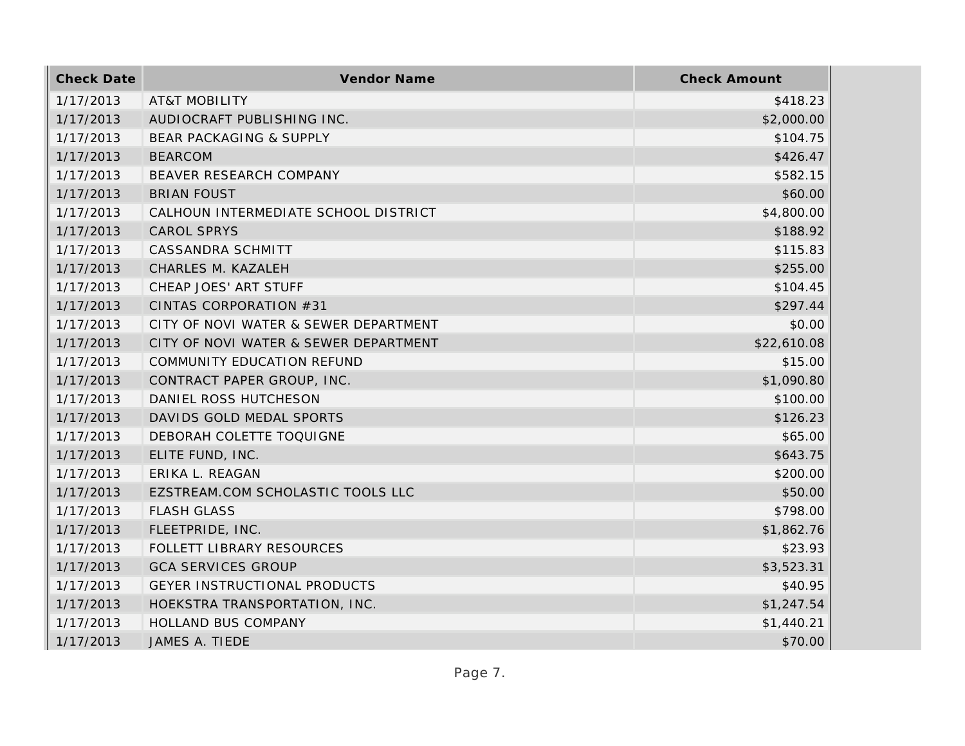| <b>Check Date</b> | Vendor Name                           | <b>Check Amount</b> |
|-------------------|---------------------------------------|---------------------|
| 1/17/2013         | <b>AT&amp;T MOBILITY</b>              | \$418.23            |
| 1/17/2013         | AUDIOCRAFT PUBLISHING INC.            | \$2,000.00          |
| 1/17/2013         | BEAR PACKAGING & SUPPLY               | \$104.75            |
| 1/17/2013         | <b>BEARCOM</b>                        | \$426.47            |
| 1/17/2013         | BEAVER RESEARCH COMPANY               | \$582.15            |
| 1/17/2013         | <b>BRIAN FOUST</b>                    | \$60.00             |
| 1/17/2013         | CALHOUN INTERMEDIATE SCHOOL DISTRICT  | \$4,800.00          |
| 1/17/2013         | <b>CAROL SPRYS</b>                    | \$188.92            |
| 1/17/2013         | CASSANDRA SCHMITT                     | \$115.83            |
| 1/17/2013         | CHARLES M. KAZALEH                    | \$255.00            |
| 1/17/2013         | CHEAP JOES' ART STUFF                 | \$104.45            |
| 1/17/2013         | CINTAS CORPORATION #31                | \$297.44            |
| 1/17/2013         | CITY OF NOVI WATER & SEWER DEPARTMENT | \$0.00              |
| 1/17/2013         | CITY OF NOVI WATER & SEWER DEPARTMENT | \$22,610.08         |
| 1/17/2013         | COMMUNITY EDUCATION REFUND            | \$15.00             |
| 1/17/2013         | CONTRACT PAPER GROUP, INC.            | \$1,090.80          |
| 1/17/2013         | DANIEL ROSS HUTCHESON                 | \$100.00            |
| 1/17/2013         | DAVIDS GOLD MEDAL SPORTS              | \$126.23            |
| 1/17/2013         | DEBORAH COLETTE TOQUIGNE              | \$65.00             |
| 1/17/2013         | ELITE FUND, INC.                      | \$643.75            |
| 1/17/2013         | ERIKA L. REAGAN                       | \$200.00            |
| 1/17/2013         | EZSTREAM.COM SCHOLASTIC TOOLS LLC     | \$50.00             |
| 1/17/2013         | <b>FLASH GLASS</b>                    | \$798.00            |
| 1/17/2013         | FLEETPRIDE, INC.                      | \$1,862.76          |
| 1/17/2013         | FOLLETT LIBRARY RESOURCES             | \$23.93             |
| 1/17/2013         | <b>GCA SERVICES GROUP</b>             | \$3,523.31          |
| 1/17/2013         | GEYER INSTRUCTIONAL PRODUCTS          | \$40.95             |
| 1/17/2013         | HOEKSTRA TRANSPORTATION, INC.         | \$1,247.54          |
| 1/17/2013         | HOLLAND BUS COMPANY                   | \$1,440.21          |
| 1/17/2013         | JAMES A. TIEDE                        | \$70.00             |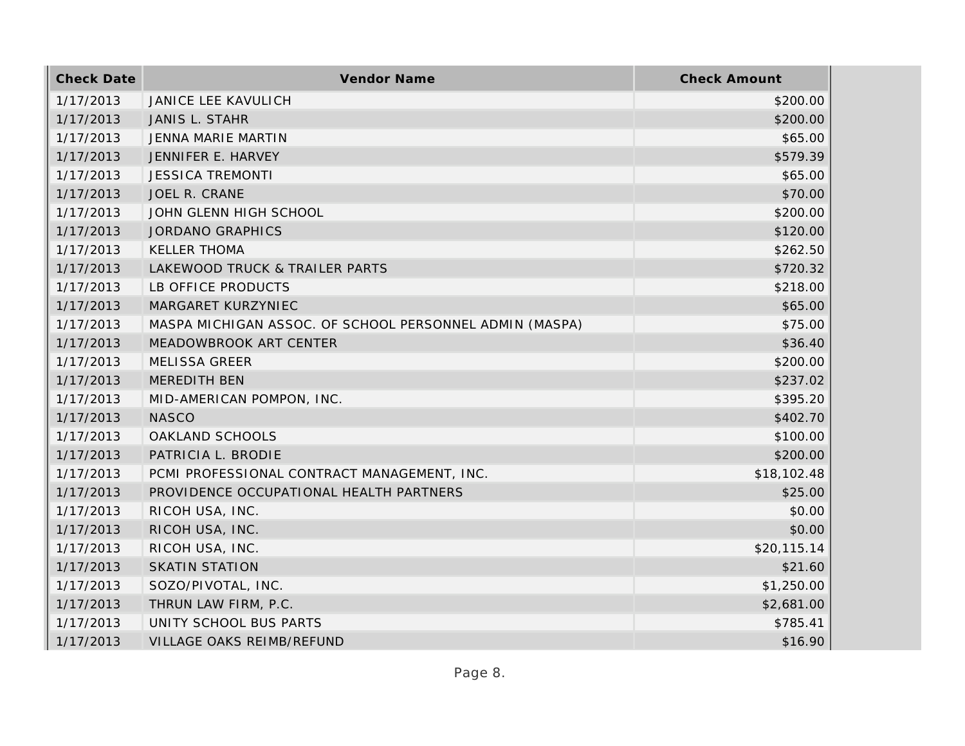| <b>Check Date</b> | Vendor Name                                             | <b>Check Amount</b> |
|-------------------|---------------------------------------------------------|---------------------|
| 1/17/2013         | <b>JANICE LEE KAVULICH</b>                              | \$200.00            |
| 1/17/2013         | JANIS L. STAHR                                          | \$200.00            |
| 1/17/2013         | JENNA MARIE MARTIN                                      | \$65.00             |
| 1/17/2013         | JENNIFER E. HARVEY                                      | \$579.39            |
| 1/17/2013         | <b>JESSICA TREMONTI</b>                                 | \$65.00             |
| 1/17/2013         | JOEL R. CRANE                                           | \$70.00             |
| 1/17/2013         | JOHN GLENN HIGH SCHOOL                                  | \$200.00            |
| 1/17/2013         | <b>JORDANO GRAPHICS</b>                                 | \$120.00            |
| 1/17/2013         | <b>KELLER THOMA</b>                                     | \$262.50            |
| 1/17/2013         | LAKEWOOD TRUCK & TRAILER PARTS                          | \$720.32            |
| 1/17/2013         | LB OFFICE PRODUCTS                                      | \$218.00            |
| 1/17/2013         | MARGARET KURZYNIEC                                      | \$65.00             |
| 1/17/2013         | MASPA MICHIGAN ASSOC. OF SCHOOL PERSONNEL ADMIN (MASPA) | \$75.00             |
| 1/17/2013         | MEADOWBROOK ART CENTER                                  | \$36.40             |
| 1/17/2013         | <b>MELISSA GREER</b>                                    | \$200.00            |
| 1/17/2013         | MEREDITH BEN                                            | \$237.02            |
| 1/17/2013         | MID-AMERICAN POMPON, INC.                               | \$395.20            |
| 1/17/2013         | <b>NASCO</b>                                            | \$402.70            |
| 1/17/2013         | OAKLAND SCHOOLS                                         | \$100.00            |
| 1/17/2013         | PATRICIA L. BRODIE                                      | \$200.00            |
| 1/17/2013         | PCMI PROFESSIONAL CONTRACT MANAGEMENT, INC.             | \$18,102.48         |
| 1/17/2013         | PROVIDENCE OCCUPATIONAL HEALTH PARTNERS                 | \$25.00             |
| 1/17/2013         | RICOH USA, INC.                                         | \$0.00              |
| 1/17/2013         | RICOH USA, INC.                                         | \$0.00              |
| 1/17/2013         | RICOH USA, INC.                                         | \$20,115.14         |
| 1/17/2013         | <b>SKATIN STATION</b>                                   | \$21.60             |
| 1/17/2013         | SOZO/PIVOTAL, INC.                                      | \$1,250.00          |
| 1/17/2013         | THRUN LAW FIRM, P.C.                                    | \$2,681.00          |
| 1/17/2013         | UNITY SCHOOL BUS PARTS                                  | \$785.41            |
| 1/17/2013         | <b>VILLAGE OAKS REIMB/REFUND</b>                        | \$16.90             |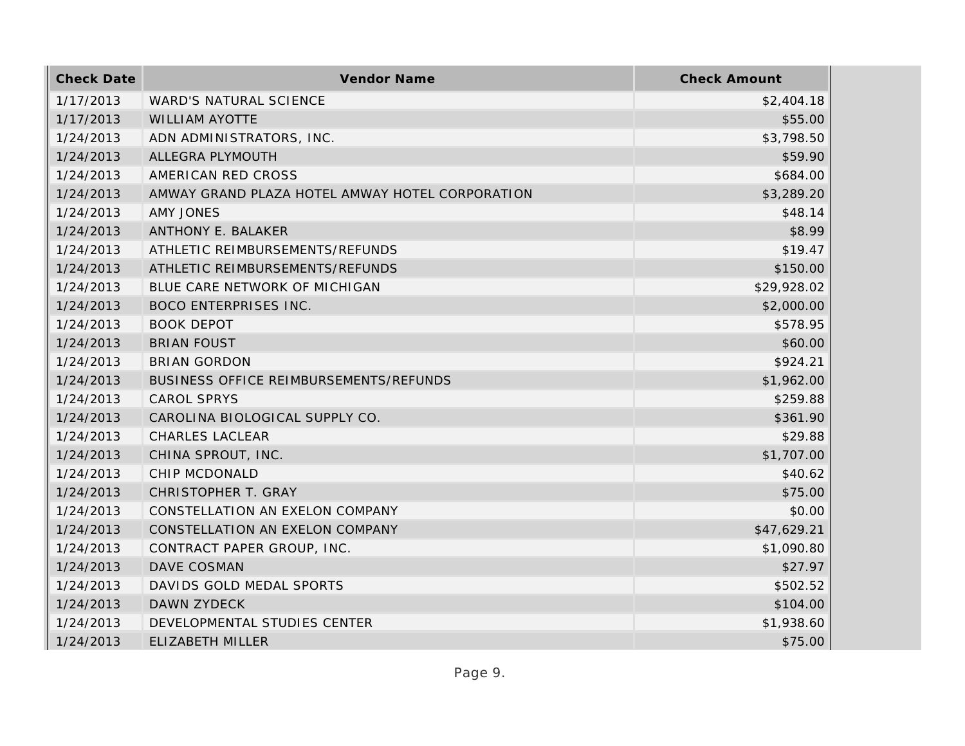| <b>Check Date</b> | Vendor Name                                     | <b>Check Amount</b> |
|-------------------|-------------------------------------------------|---------------------|
| 1/17/2013         | WARD'S NATURAL SCIENCE                          | \$2,404.18          |
| 1/17/2013         | <b>WILLIAM AYOTTE</b>                           | \$55.00             |
| 1/24/2013         | ADN ADMINISTRATORS, INC.                        | \$3,798.50          |
| 1/24/2013         | ALLEGRA PLYMOUTH                                | \$59.90             |
| 1/24/2013         | AMERICAN RED CROSS                              | \$684.00            |
| 1/24/2013         | AMWAY GRAND PLAZA HOTEL AMWAY HOTEL CORPORATION | \$3,289.20          |
| 1/24/2013         | <b>AMY JONES</b>                                | \$48.14             |
| 1/24/2013         | ANTHONY E. BALAKER                              | \$8.99              |
| 1/24/2013         | ATHLETIC REIMBURSEMENTS/REFUNDS                 | \$19.47             |
| 1/24/2013         | ATHLETIC REIMBURSEMENTS/REFUNDS                 | \$150.00            |
| 1/24/2013         | BLUE CARE NETWORK OF MICHIGAN                   | \$29,928.02         |
| 1/24/2013         | <b>BOCO ENTERPRISES INC.</b>                    | \$2,000.00          |
| 1/24/2013         | <b>BOOK DEPOT</b>                               | \$578.95            |
| 1/24/2013         | <b>BRIAN FOUST</b>                              | \$60.00             |
| 1/24/2013         | <b>BRIAN GORDON</b>                             | \$924.21            |
| 1/24/2013         | BUSINESS OFFICE REIMBURSEMENTS/REFUNDS          | \$1,962.00          |
| 1/24/2013         | <b>CAROL SPRYS</b>                              | \$259.88            |
| 1/24/2013         | CAROLINA BIOLOGICAL SUPPLY CO.                  | \$361.90            |
| 1/24/2013         | CHARLES LACLEAR                                 | \$29.88             |
| 1/24/2013         | CHINA SPROUT, INC.                              | \$1,707.00          |
| 1/24/2013         | CHIP MCDONALD                                   | \$40.62             |
| 1/24/2013         | CHRISTOPHER T. GRAY                             | \$75.00             |
| 1/24/2013         | CONSTELLATION AN EXELON COMPANY                 | \$0.00              |
| 1/24/2013         | CONSTELLATION AN EXELON COMPANY                 | \$47,629.21         |
| 1/24/2013         | CONTRACT PAPER GROUP, INC.                      | \$1,090.80          |
| 1/24/2013         | DAVE COSMAN                                     | \$27.97             |
| 1/24/2013         | DAVIDS GOLD MEDAL SPORTS                        | \$502.52            |
| 1/24/2013         | DAWN ZYDECK                                     | \$104.00            |
| 1/24/2013         | DEVELOPMENTAL STUDIES CENTER                    | \$1,938.60          |
| 1/24/2013         | ELIZABETH MILLER                                | \$75.00             |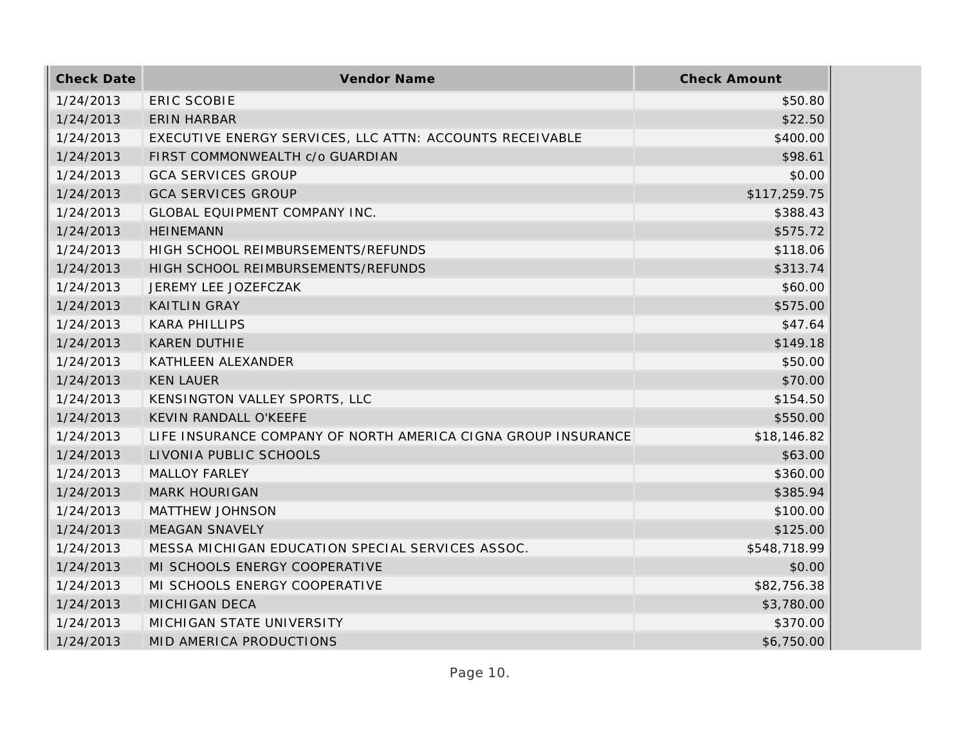| <b>Check Date</b> | Vendor Name                                                   | <b>Check Amount</b> |
|-------------------|---------------------------------------------------------------|---------------------|
| 1/24/2013         | <b>ERIC SCOBIE</b>                                            | \$50.80             |
| 1/24/2013         | <b>ERIN HARBAR</b>                                            | \$22.50             |
| 1/24/2013         | EXECUTIVE ENERGY SERVICES, LLC ATTN: ACCOUNTS RECEIVABLE      | \$400.00            |
| 1/24/2013         | FIRST COMMONWEALTH c/o GUARDIAN                               | \$98.61             |
| 1/24/2013         | <b>GCA SERVICES GROUP</b>                                     | \$0.00              |
| 1/24/2013         | <b>GCA SERVICES GROUP</b>                                     | \$117,259.75        |
| 1/24/2013         | GLOBAL EQUIPMENT COMPANY INC.                                 | \$388.43            |
| 1/24/2013         | <b>HEINEMANN</b>                                              | \$575.72            |
| 1/24/2013         | HIGH SCHOOL REIMBURSEMENTS/REFUNDS                            | \$118.06            |
| 1/24/2013         | HIGH SCHOOL REIMBURSEMENTS/REFUNDS                            | \$313.74            |
| 1/24/2013         | JEREMY LEE JOZEFCZAK                                          | \$60.00             |
| 1/24/2013         | <b>KAITLIN GRAY</b>                                           | \$575.00            |
| 1/24/2013         | <b>KARA PHILLIPS</b>                                          | \$47.64             |
| 1/24/2013         | <b>KAREN DUTHIE</b>                                           | \$149.18            |
| 1/24/2013         | KATHLEEN ALEXANDER                                            | \$50.00             |
| 1/24/2013         | <b>KEN LAUER</b>                                              | \$70.00             |
| 1/24/2013         | KENSINGTON VALLEY SPORTS, LLC                                 | \$154.50            |
| 1/24/2013         | KEVIN RANDALL O'KEEFE                                         | \$550.00            |
| 1/24/2013         | LIFE INSURANCE COMPANY OF NORTH AMERICA CIGNA GROUP INSURANCE | \$18,146.82         |
| 1/24/2013         | LIVONIA PUBLIC SCHOOLS                                        | \$63.00             |
| 1/24/2013         | <b>MALLOY FARLEY</b>                                          | \$360.00            |
| 1/24/2013         | <b>MARK HOURIGAN</b>                                          | \$385.94            |
| 1/24/2013         | MATTHEW JOHNSON                                               | \$100.00            |
| 1/24/2013         | <b>MEAGAN SNAVELY</b>                                         | \$125.00            |
| 1/24/2013         | MESSA MICHIGAN EDUCATION SPECIAL SERVICES ASSOC.              | \$548,718.99        |
| 1/24/2013         | MI SCHOOLS ENERGY COOPERATIVE                                 | \$0.00              |
| 1/24/2013         | MI SCHOOLS ENERGY COOPERATIVE                                 | \$82,756.38         |
| 1/24/2013         | <b>MICHIGAN DECA</b>                                          | \$3,780.00          |
| 1/24/2013         | MICHIGAN STATE UNIVERSITY                                     | \$370.00            |
| 1/24/2013         | MID AMERICA PRODUCTIONS                                       | \$6,750.00          |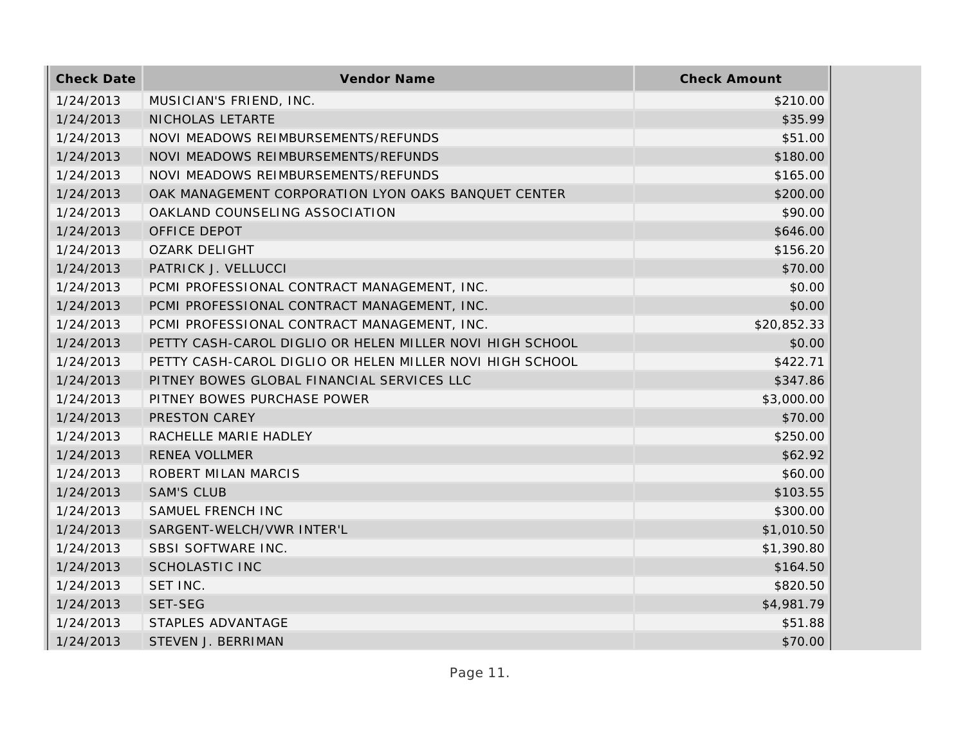| <b>Check Date</b> | Vendor Name                                              | <b>Check Amount</b> |
|-------------------|----------------------------------------------------------|---------------------|
| 1/24/2013         | MUSICIAN'S FRIEND, INC.                                  | \$210.00            |
| 1/24/2013         | NICHOLAS LETARTE                                         | \$35.99             |
| 1/24/2013         | NOVI MEADOWS REIMBURSEMENTS/REFUNDS                      | \$51.00             |
| 1/24/2013         | NOVI MEADOWS REIMBURSEMENTS/REFUNDS                      | \$180.00            |
| 1/24/2013         | NOVI MEADOWS REIMBURSEMENTS/REFUNDS                      | \$165.00            |
| 1/24/2013         | OAK MANAGEMENT CORPORATION LYON OAKS BANQUET CENTER      | \$200.00            |
| 1/24/2013         | OAKLAND COUNSELING ASSOCIATION                           | \$90.00             |
| 1/24/2013         | OFFICE DEPOT                                             | \$646.00            |
| 1/24/2013         | <b>OZARK DELIGHT</b>                                     | \$156.20            |
| 1/24/2013         | PATRICK J. VELLUCCI                                      | \$70.00             |
| 1/24/2013         | PCMI PROFESSIONAL CONTRACT MANAGEMENT, INC.              | \$0.00              |
| 1/24/2013         | PCMI PROFESSIONAL CONTRACT MANAGEMENT, INC.              | \$0.00              |
| 1/24/2013         | PCMI PROFESSIONAL CONTRACT MANAGEMENT, INC.              | \$20,852.33         |
| 1/24/2013         | PETTY CASH-CAROL DIGLIO OR HELEN MILLER NOVI HIGH SCHOOL | \$0.00              |
| 1/24/2013         | PETTY CASH-CAROL DIGLIO OR HELEN MILLER NOVI HIGH SCHOOL | \$422.71            |
| 1/24/2013         | PITNEY BOWES GLOBAL FINANCIAL SERVICES LLC               | \$347.86            |
| 1/24/2013         | PITNEY BOWES PURCHASE POWER                              | \$3,000.00          |
| 1/24/2013         | PRESTON CAREY                                            | \$70.00             |
| 1/24/2013         | RACHELLE MARIE HADLEY                                    | \$250.00            |
| 1/24/2013         | RENEA VOLLMER                                            | \$62.92             |
| 1/24/2013         | ROBERT MILAN MARCIS                                      | \$60.00             |
| 1/24/2013         | <b>SAM'S CLUB</b>                                        | \$103.55            |
| 1/24/2013         | SAMUEL FRENCH INC                                        | \$300.00            |
| 1/24/2013         | SARGENT-WELCH/VWR INTER'L                                | \$1,010.50          |
| 1/24/2013         | SBSI SOFTWARE INC.                                       | \$1,390.80          |
| 1/24/2013         | <b>SCHOLASTIC INC</b>                                    | \$164.50            |
| 1/24/2013         | SET INC.                                                 | \$820.50            |
| 1/24/2013         | SET-SEG                                                  | \$4,981.79          |
| 1/24/2013         | STAPLES ADVANTAGE                                        | \$51.88             |
| 1/24/2013         | STEVEN J. BERRIMAN                                       | \$70.00             |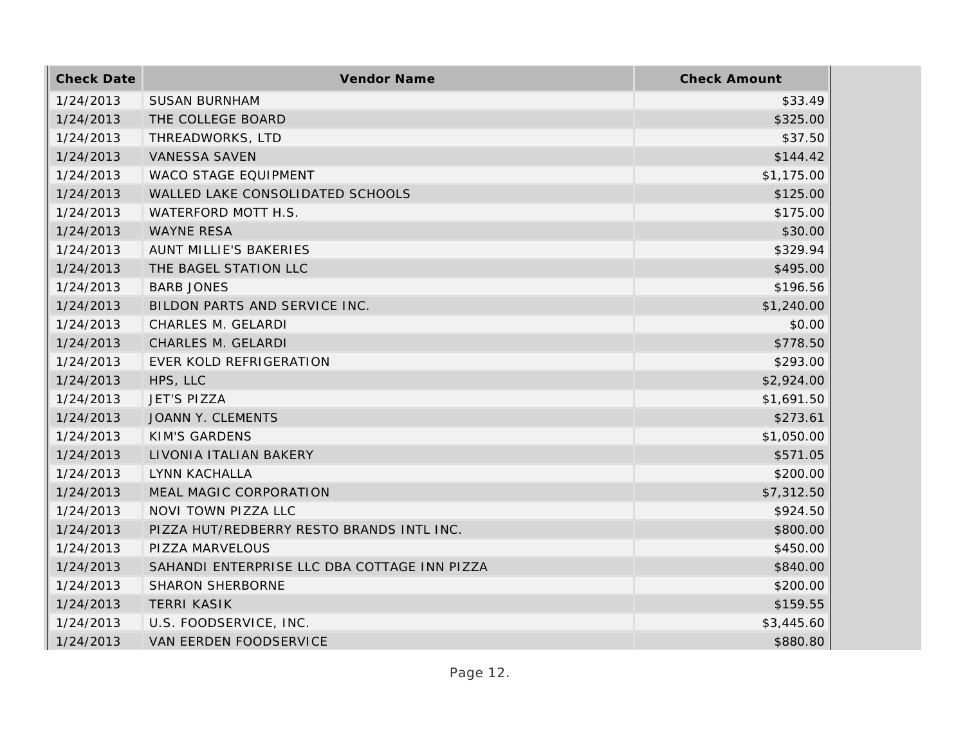| <b>Check Date</b> | Vendor Name                                  | <b>Check Amount</b> |
|-------------------|----------------------------------------------|---------------------|
| 1/24/2013         | <b>SUSAN BURNHAM</b>                         | \$33.49             |
| 1/24/2013         | THE COLLEGE BOARD                            | \$325.00            |
| 1/24/2013         | THREADWORKS, LTD                             | \$37.50             |
| 1/24/2013         | VANESSA SAVEN                                | \$144.42            |
| 1/24/2013         | WACO STAGE EQUIPMENT                         | \$1,175.00          |
| 1/24/2013         | WALLED LAKE CONSOLIDATED SCHOOLS             | \$125.00            |
| 1/24/2013         | WATERFORD MOTT H.S.                          | \$175.00            |
| 1/24/2013         | <b>WAYNE RESA</b>                            | \$30.00             |
| 1/24/2013         | AUNT MILLIE'S BAKERIES                       | \$329.94            |
| 1/24/2013         | THE BAGEL STATION LLC                        | \$495.00            |
| 1/24/2013         | <b>BARB JONES</b>                            | \$196.56            |
| 1/24/2013         | BILDON PARTS AND SERVICE INC.                | \$1,240.00          |
| 1/24/2013         | CHARLES M. GELARDI                           | \$0.00              |
| 1/24/2013         | CHARLES M. GELARDI                           | \$778.50            |
| 1/24/2013         | EVER KOLD REFRIGERATION                      | \$293.00            |
| 1/24/2013         | HPS, LLC                                     | \$2,924.00          |
| 1/24/2013         | <b>JET'S PIZZA</b>                           | \$1,691.50          |
| 1/24/2013         | JOANN Y. CLEMENTS                            | \$273.61            |
| 1/24/2013         | <b>KIM'S GARDENS</b>                         | \$1,050.00          |
| 1/24/2013         | LIVONIA ITALIAN BAKERY                       | \$571.05            |
| 1/24/2013         | LYNN KACHALLA                                | \$200.00            |
| 1/24/2013         | MEAL MAGIC CORPORATION                       | \$7,312.50          |
| 1/24/2013         | NOVI TOWN PIZZA LLC                          | \$924.50            |
| 1/24/2013         | PIZZA HUT/REDBERRY RESTO BRANDS INTL INC.    | \$800.00            |
| 1/24/2013         | PIZZA MARVELOUS                              | \$450.00            |
| 1/24/2013         | SAHANDI ENTERPRISE LLC DBA COTTAGE INN PIZZA | \$840.00            |
| 1/24/2013         | <b>SHARON SHERBORNE</b>                      | \$200.00            |
| 1/24/2013         | <b>TERRI KASIK</b>                           | \$159.55            |
| 1/24/2013         | U.S. FOODSERVICE, INC.                       | \$3,445.60          |
| 1/24/2013         | <b>VAN EERDEN FOODSERVICE</b>                | \$880.80            |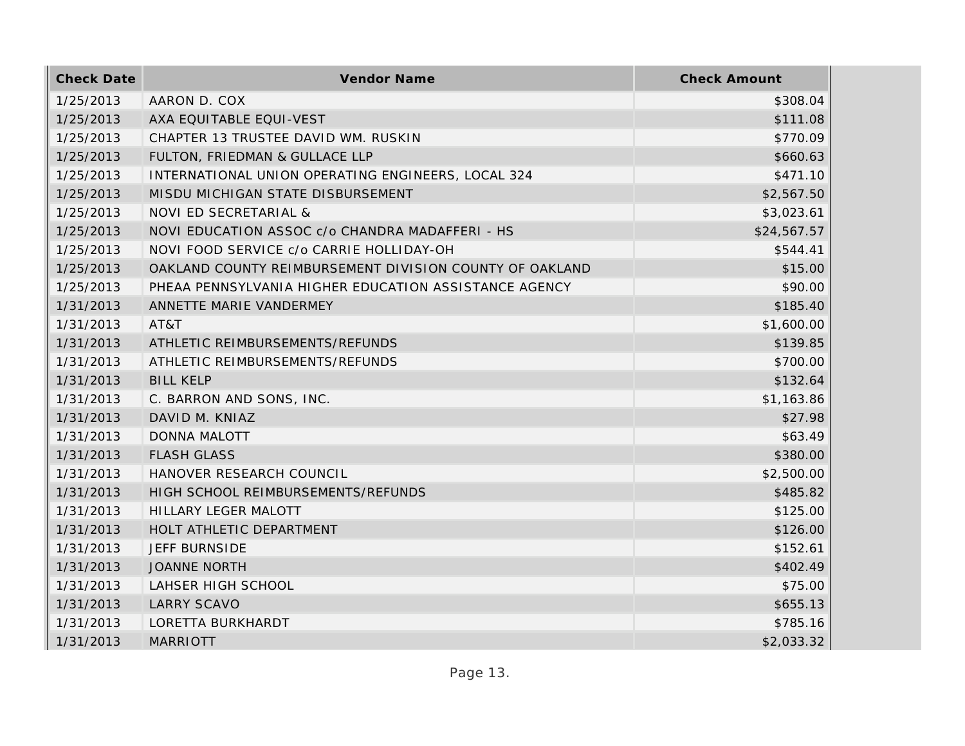| <b>Check Date</b> | Vendor Name                                             | <b>Check Amount</b> |
|-------------------|---------------------------------------------------------|---------------------|
| 1/25/2013         | AARON D. COX                                            | \$308.04            |
| 1/25/2013         | AXA EQUITABLE EQUI-VEST                                 | \$111.08            |
| 1/25/2013         | CHAPTER 13 TRUSTEE DAVID WM. RUSKIN                     | \$770.09            |
| 1/25/2013         | FULTON, FRIEDMAN & GULLACE LLP                          | \$660.63            |
| 1/25/2013         | INTERNATIONAL UNION OPERATING ENGINEERS, LOCAL 324      | \$471.10            |
| 1/25/2013         | MISDU MICHIGAN STATE DISBURSEMENT                       | \$2,567.50          |
| 1/25/2013         | NOVI ED SECRETARIAL &                                   | \$3,023.61          |
| 1/25/2013         | NOVI EDUCATION ASSOC c/o CHANDRA MADAFFERI - HS         | \$24,567.57         |
| 1/25/2013         | NOVI FOOD SERVICE c/o CARRIE HOLLIDAY-OH                | \$544.41            |
| 1/25/2013         | OAKLAND COUNTY REIMBURSEMENT DIVISION COUNTY OF OAKLAND | \$15.00             |
| 1/25/2013         | PHEAA PENNSYLVANIA HIGHER EDUCATION ASSISTANCE AGENCY   | \$90.00             |
| 1/31/2013         | ANNETTE MARIE VANDERMEY                                 | \$185.40            |
| 1/31/2013         | AT&T                                                    | \$1,600.00          |
| 1/31/2013         | ATHLETIC REIMBURSEMENTS/REFUNDS                         | \$139.85            |
| 1/31/2013         | ATHLETIC REIMBURSEMENTS/REFUNDS                         | \$700.00            |
| 1/31/2013         | <b>BILL KELP</b>                                        | \$132.64            |
| 1/31/2013         | C. BARRON AND SONS, INC.                                | \$1,163.86          |
| 1/31/2013         | DAVID M. KNIAZ                                          | \$27.98             |
| 1/31/2013         | <b>DONNA MALOTT</b>                                     | \$63.49             |
| 1/31/2013         | <b>FLASH GLASS</b>                                      | \$380.00            |
| 1/31/2013         | HANOVER RESEARCH COUNCIL                                | \$2,500.00          |
| 1/31/2013         | HIGH SCHOOL REIMBURSEMENTS/REFUNDS                      | \$485.82            |
| 1/31/2013         | HILLARY LEGER MALOTT                                    | \$125.00            |
| 1/31/2013         | HOLT ATHLETIC DEPARTMENT                                | \$126.00            |
| 1/31/2013         | <b>JEFF BURNSIDE</b>                                    | \$152.61            |
| 1/31/2013         | <b>JOANNE NORTH</b>                                     | \$402.49            |
| 1/31/2013         | LAHSER HIGH SCHOOL                                      | \$75.00             |
| 1/31/2013         | <b>LARRY SCAVO</b>                                      | \$655.13            |
| 1/31/2013         | LORETTA BURKHARDT                                       | \$785.16            |
| 1/31/2013         | <b>MARRIOTT</b>                                         | \$2,033.32          |